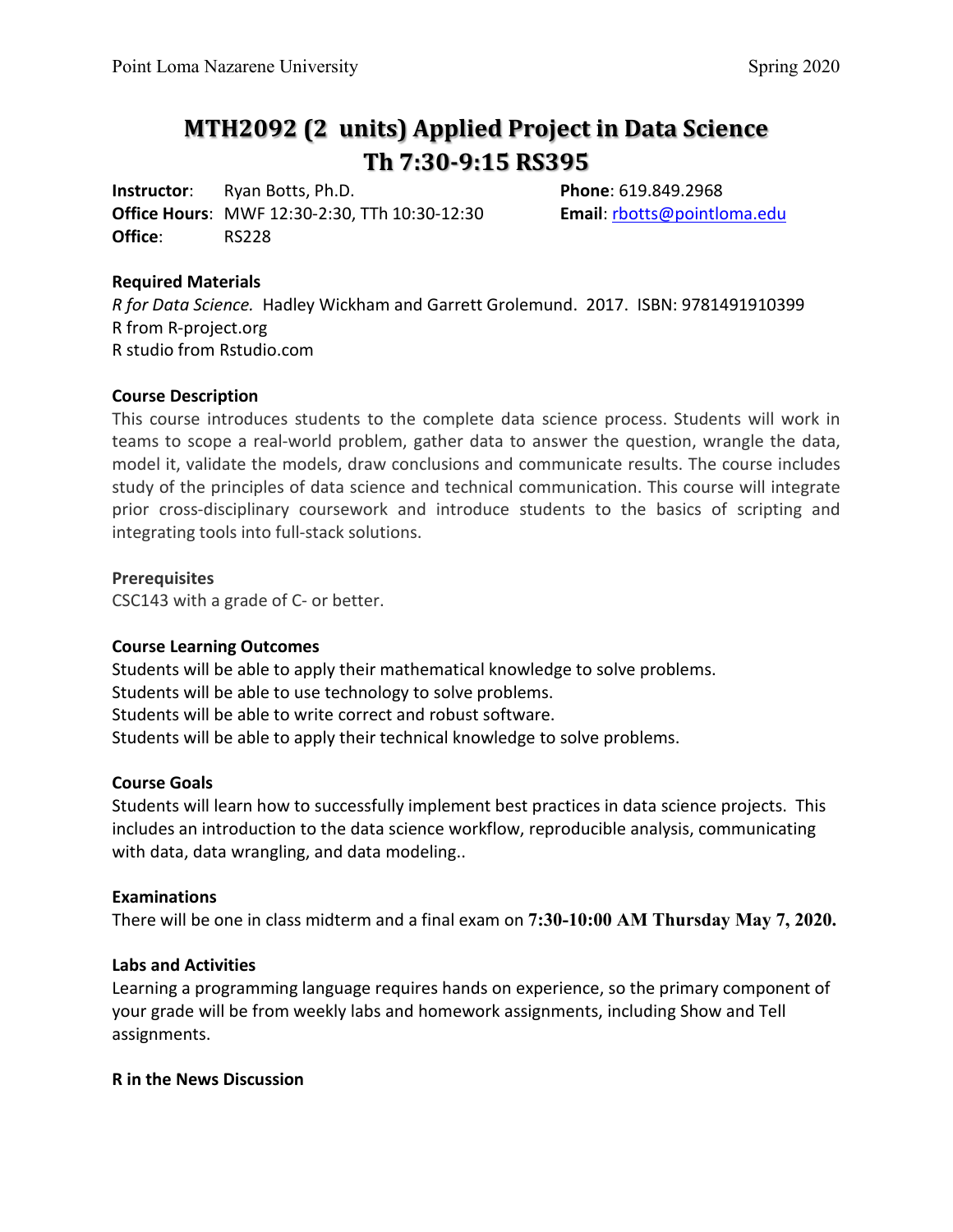# **MTH2092 (2 units) Applied Project in Data Science Th 7:30-9:15 RS395**

**Instructor**: Ryan Botts, Ph.D. **Phone**: 619.849.2968 **Office Hours**: MWF 12:30-2:30, TTh 10:30-12:30 **Email**: [rbotts@pointloma.edu](mailto:rbotts@pointloma.edu) **Office**: RS228

## **Required Materials**

*R for Data Science.* Hadley Wickham and Garrett Grolemund. 2017. ISBN: 9781491910399 R from R-project.org R studio from Rstudio.com

## **Course Description**

This course introduces students to the complete data science process. Students will work in teams to scope a real-world problem, gather data to answer the question, wrangle the data, model it, validate the models, draw conclusions and communicate results. The course includes study of the principles of data science and technical communication. This course will integrate prior cross-disciplinary coursework and introduce students to the basics of scripting and integrating tools into full-stack solutions.

## **Prerequisites**

CSC143 with a grade of C- or better.

## **Course Learning Outcomes**

Students will be able to apply their mathematical knowledge to solve problems. Students will be able to use technology to solve problems. Students will be able to write correct and robust software. Students will be able to apply their technical knowledge to solve problems.

## **Course Goals**

Students will learn how to successfully implement best practices in data science projects. This includes an introduction to the data science workflow, reproducible analysis, communicating with data, data wrangling, and data modeling..

## **Examinations**

There will be one in class midterm and a final exam on **7:30-10:00 AM Thursday May 7, 2020.**

# **Labs and Activities**

Learning a programming language requires hands on experience, so the primary component of your grade will be from weekly labs and homework assignments, including Show and Tell assignments.

## **R in the News Discussion**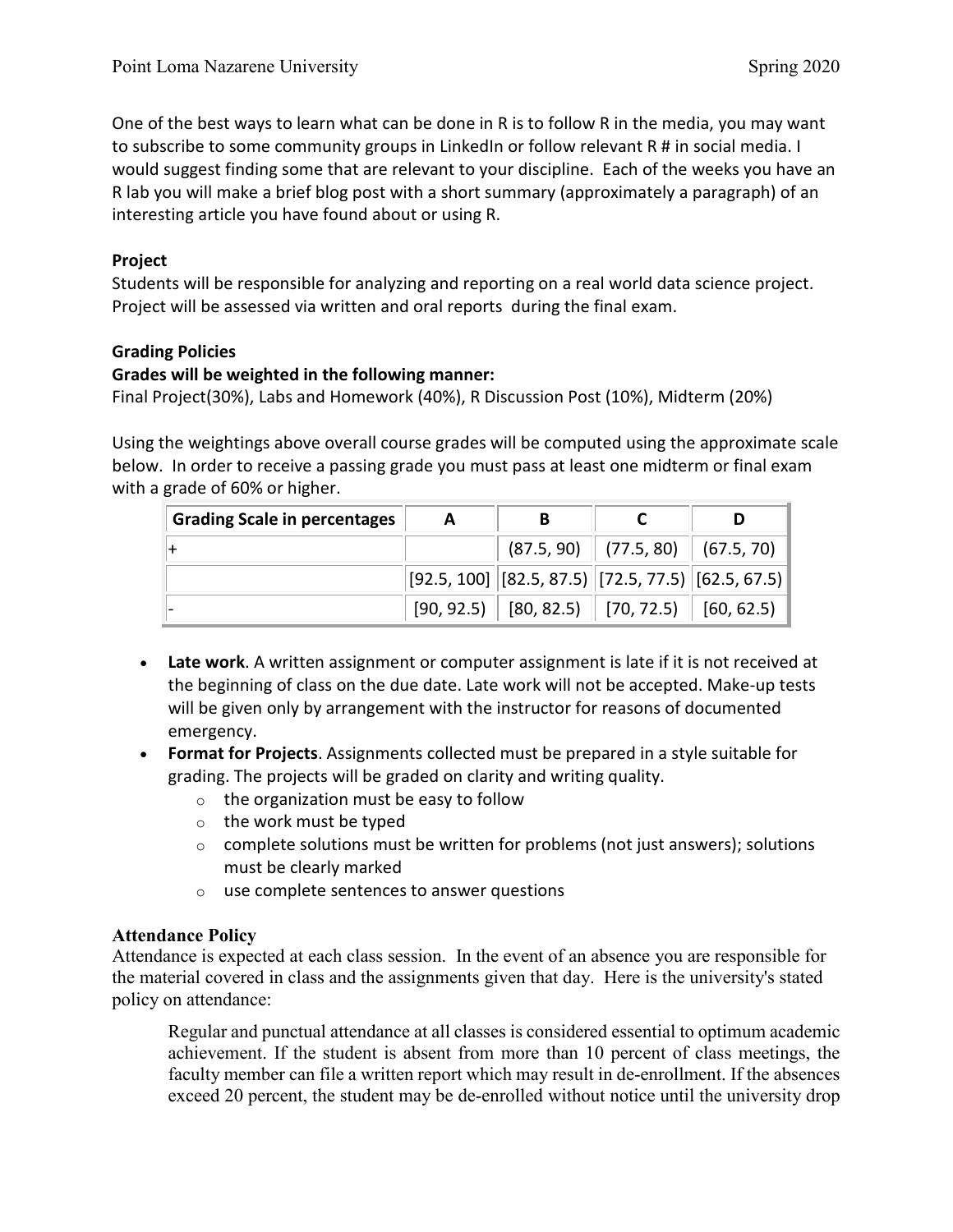One of the best ways to learn what can be done in R is to follow R in the media, you may want to subscribe to some community groups in LinkedIn or follow relevant R # in social media. I would suggest finding some that are relevant to your discipline. Each of the weeks you have an R lab you will make a brief blog post with a short summary (approximately a paragraph) of an interesting article you have found about or using R.

# **Project**

Students will be responsible for analyzing and reporting on a real world data science project. Project will be assessed via written and oral reports during the final exam.

# **Grading Policies**

# **Grades will be weighted in the following manner:**

Final Project(30%), Labs and Homework (40%), R Discussion Post (10%), Midterm (20%)

Using the weightings above overall course grades will be computed using the approximate scale below. In order to receive a passing grade you must pass at least one midterm or final exam with a grade of 60% or higher.

| <b>Grading Scale in percentages</b> | А |                                                                                                                                                            |                                        |
|-------------------------------------|---|------------------------------------------------------------------------------------------------------------------------------------------------------------|----------------------------------------|
|                                     |   |                                                                                                                                                            | $(87.5, 90)$ $(77.5, 80)$ $(67.5, 70)$ |
|                                     |   | $\left\vert \left[ 92.5,100\right] \right\vert \left[ 82.5,87.5\right) \left\vert \left[ 72.5,77.5\right) \right\vert \left[ 62.5,67.5\right) \right\vert$ |                                        |
|                                     |   | $[90, 92.5]$ $[80, 82.5]$ $[70, 72.5]$ $[60, 62.5]$                                                                                                        |                                        |

- **Late work**. A written assignment or computer assignment is late if it is not received at the beginning of class on the due date. Late work will not be accepted. Make-up tests will be given only by arrangement with the instructor for reasons of documented emergency.
- **Format for Projects**. Assignments collected must be prepared in a style suitable for grading. The projects will be graded on clarity and writing quality.
	- $\circ$  the organization must be easy to follow
	- o the work must be typed
	- $\circ$  complete solutions must be written for problems (not just answers); solutions must be clearly marked
	- o use complete sentences to answer questions

# **Attendance Policy**

Attendance is expected at each class session. In the event of an absence you are responsible for the material covered in class and the assignments given that day. Here is the university's stated policy on attendance:

Regular and punctual attendance at all classes is considered essential to optimum academic achievement. If the student is absent from more than 10 percent of class meetings, the faculty member can file a written report which may result in de-enrollment. If the absences exceed 20 percent, the student may be de-enrolled without notice until the university drop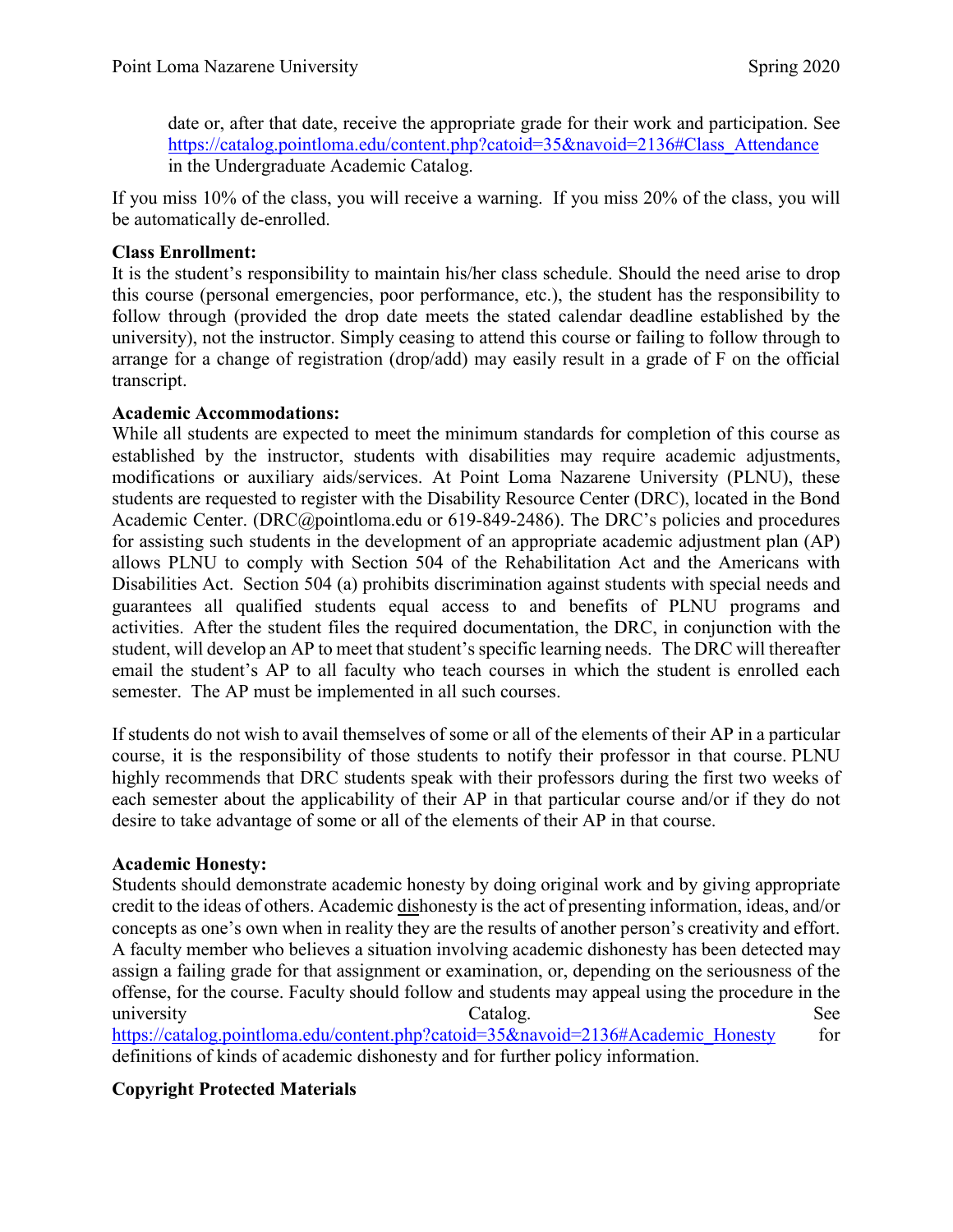date or, after that date, receive the appropriate grade for their work and participation. See [https://catalog.pointloma.edu/content.php?catoid=35&navoid=2136#Class\\_Attendance](https://catalog.pointloma.edu/content.php?catoid=35&navoid=2136#Class_Attendance) in the Undergraduate Academic Catalog.

If you miss 10% of the class, you will receive a warning. If you miss 20% of the class, you will be automatically de-enrolled.

## **Class Enrollment:**

It is the student's responsibility to maintain his/her class schedule. Should the need arise to drop this course (personal emergencies, poor performance, etc.), the student has the responsibility to follow through (provided the drop date meets the stated calendar deadline established by the university), not the instructor. Simply ceasing to attend this course or failing to follow through to arrange for a change of registration (drop/add) may easily result in a grade of F on the official transcript.

## **Academic Accommodations:**

While all students are expected to meet the minimum standards for completion of this course as established by the instructor, students with disabilities may require academic adjustments, modifications or auxiliary aids/services. At Point Loma Nazarene University (PLNU), these students are requested to register with the Disability Resource Center (DRC), located in the Bond Academic Center. [\(DRC@pointloma.edu](mailto:DRC@pointloma.edu) or 619-849-2486). The DRC's policies and procedures for assisting such students in the development of an appropriate academic adjustment plan (AP) allows PLNU to comply with Section 504 of the Rehabilitation Act and the Americans with Disabilities Act. Section 504 (a) prohibits discrimination against students with special needs and guarantees all qualified students equal access to and benefits of PLNU programs and activities. After the student files the required documentation, the DRC, in conjunction with the student, will develop an AP to meet that student's specific learning needs. The DRC will thereafter email the student's AP to all faculty who teach courses in which the student is enrolled each semester. The AP must be implemented in all such courses.

If students do not wish to avail themselves of some or all of the elements of their AP in a particular course, it is the responsibility of those students to notify their professor in that course. PLNU highly recommends that DRC students speak with their professors during the first two weeks of each semester about the applicability of their AP in that particular course and/or if they do not desire to take advantage of some or all of the elements of their AP in that course.

## **Academic Honesty:**

Students should demonstrate academic honesty by doing original work and by giving appropriate credit to the ideas of others. Academic dishonesty is the act of presenting information, ideas, and/or concepts as one's own when in reality they are the results of another person's creativity and effort. A faculty member who believes a situation involving academic dishonesty has been detected may assign a failing grade for that assignment or examination, or, depending on the seriousness of the offense, for the course. Faculty should follow and students may appeal using the procedure in the university See Catalog. [https://catalog.pointloma.edu/content.php?catoid=35&navoid=2136#Academic\\_Honesty](https://catalog.pointloma.edu/content.php?catoid=35&navoid=2136#Academic_Honesty) for definitions of kinds of academic dishonesty and for further policy information.

# **Copyright Protected Materials**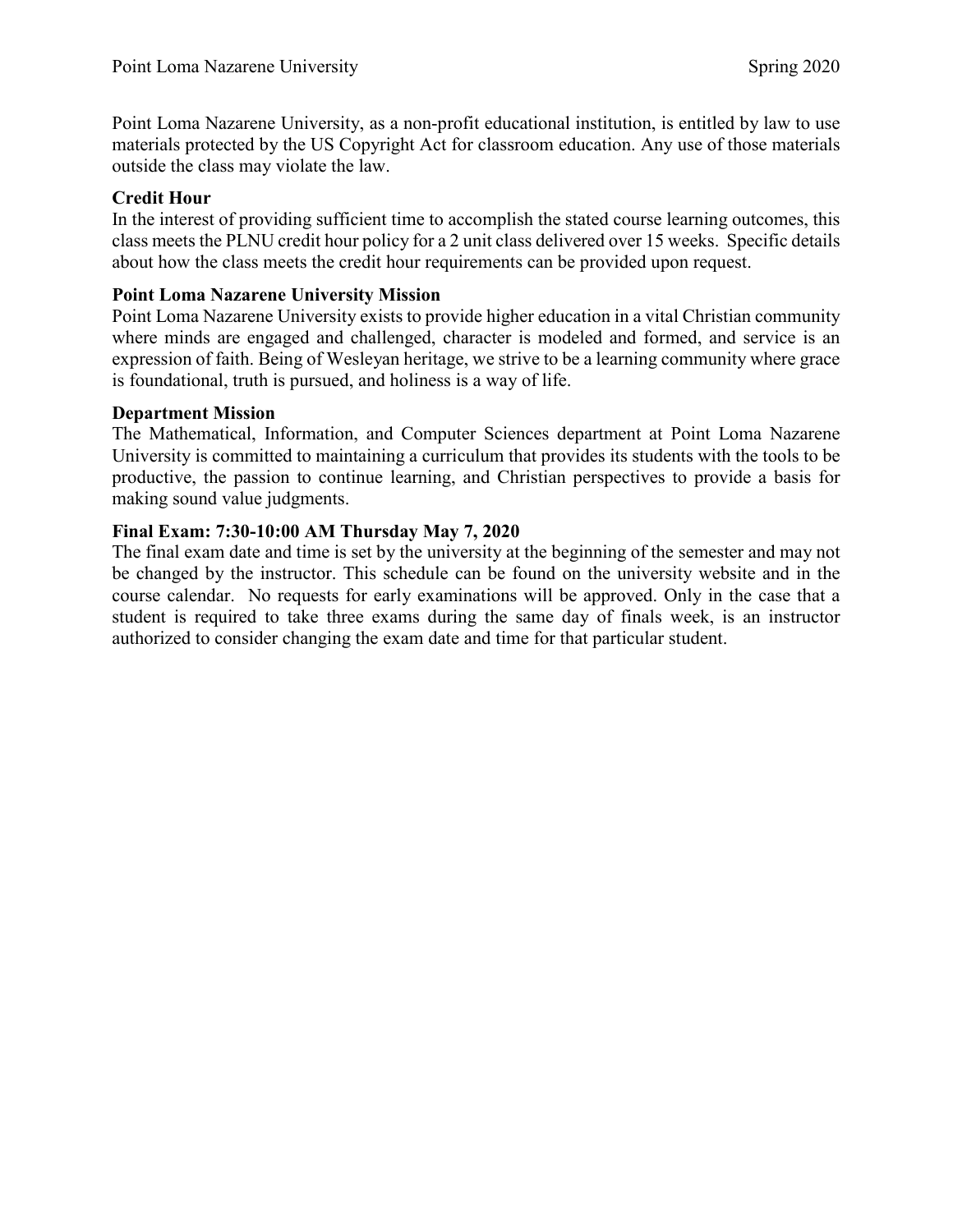Point Loma Nazarene University, as a non-profit educational institution, is entitled by law to use materials protected by the US Copyright Act for classroom education. Any use of those materials outside the class may violate the law.

## **Credit Hour**

In the interest of providing sufficient time to accomplish the stated course learning outcomes, this class meets the PLNU credit hour policy for a 2 unit class delivered over 15 weeks. Specific details about how the class meets the credit hour requirements can be provided upon request.

## **Point Loma Nazarene University Mission**

Point Loma Nazarene University exists to provide higher education in a vital Christian community where minds are engaged and challenged, character is modeled and formed, and service is an expression of faith. Being of Wesleyan heritage, we strive to be a learning community where grace is foundational, truth is pursued, and holiness is a way of life.

## **Department Mission**

The Mathematical, Information, and Computer Sciences department at Point Loma Nazarene University is committed to maintaining a curriculum that provides its students with the tools to be productive, the passion to continue learning, and Christian perspectives to provide a basis for making sound value judgments.

## **Final Exam: 7:30-10:00 AM Thursday May 7, 2020**

The final exam date and time is set by the university at the beginning of the semester and may not be changed by the instructor. This schedule can be found on the university website and in the course calendar. No requests for early examinations will be approved. Only in the case that a student is required to take three exams during the same day of finals week, is an instructor authorized to consider changing the exam date and time for that particular student.